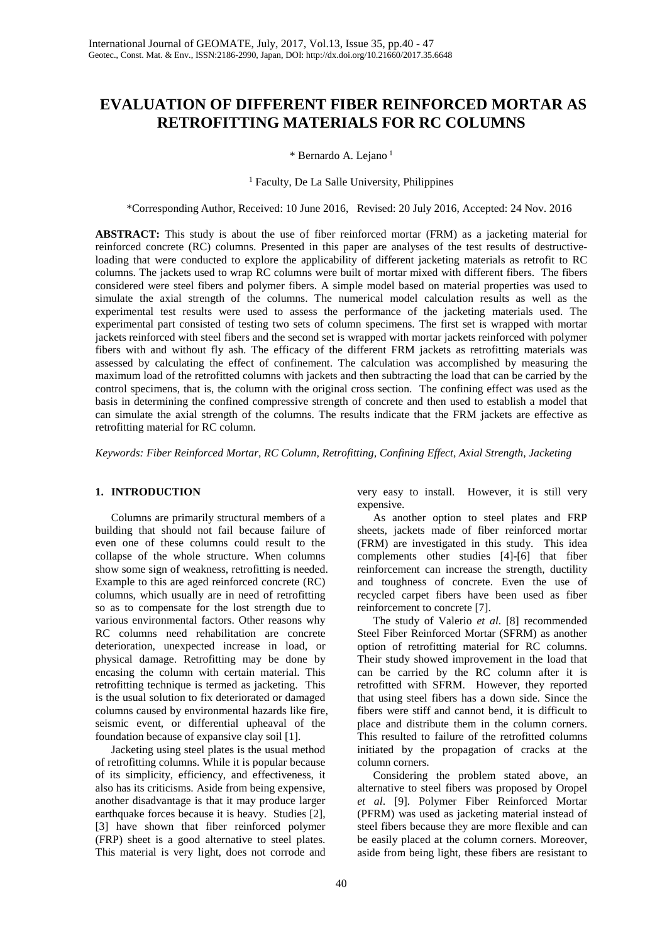# **EVALUATION OF DIFFERENT FIBER REINFORCED MORTAR AS RETROFITTING MATERIALS FOR RC COLUMNS**

\* Bernardo A. Lejano <sup>1</sup>

#### <sup>1</sup> Faculty, De La Salle University, Philippines

\*Corresponding Author, Received: 10 June 2016, Revised: 20 July 2016, Accepted: 24 Nov. 2016

**ABSTRACT:** This study is about the use of fiber reinforced mortar (FRM) as a jacketing material for reinforced concrete (RC) columns. Presented in this paper are analyses of the test results of destructiveloading that were conducted to explore the applicability of different jacketing materials as retrofit to RC columns. The jackets used to wrap RC columns were built of mortar mixed with different fibers. The fibers considered were steel fibers and polymer fibers. A simple model based on material properties was used to simulate the axial strength of the columns. The numerical model calculation results as well as the experimental test results were used to assess the performance of the jacketing materials used. The experimental part consisted of testing two sets of column specimens. The first set is wrapped with mortar jackets reinforced with steel fibers and the second set is wrapped with mortar jackets reinforced with polymer fibers with and without fly ash. The efficacy of the different FRM jackets as retrofitting materials was assessed by calculating the effect of confinement. The calculation was accomplished by measuring the maximum load of the retrofitted columns with jackets and then subtracting the load that can be carried by the control specimens, that is, the column with the original cross section. The confining effect was used as the basis in determining the confined compressive strength of concrete and then used to establish a model that can simulate the axial strength of the columns. The results indicate that the FRM jackets are effective as retrofitting material for RC column.

*Keywords: Fiber Reinforced Mortar, RC Column, Retrofitting, Confining Effect, Axial Strength, Jacketing*

## **1. INTRODUCTION**

Columns are primarily structural members of a building that should not fail because failure of even one of these columns could result to the collapse of the whole structure. When columns show some sign of weakness, retrofitting is needed. Example to this are aged reinforced concrete (RC) columns, which usually are in need of retrofitting so as to compensate for the lost strength due to various environmental factors. Other reasons why RC columns need rehabilitation are concrete deterioration, unexpected increase in load, or physical damage. Retrofitting may be done by encasing the column with certain material. This retrofitting technique is termed as jacketing. This is the usual solution to fix deteriorated or damaged columns caused by environmental hazards like fire, seismic event, or differential upheaval of the foundation because of expansive clay soil [1].

Jacketing using steel plates is the usual method of retrofitting columns. While it is popular because of its simplicity, efficiency, and effectiveness, it also has its criticisms. Aside from being expensive, another disadvantage is that it may produce larger earthquake forces because it is heavy. Studies [2], [3] have shown that fiber reinforced polymer (FRP) sheet is a good alternative to steel plates. This material is very light, does not corrode and very easy to install. However, it is still very expensive.

As another option to steel plates and FRP sheets, jackets made of fiber reinforced mortar (FRM) are investigated in this study. This idea complements other studies [4]-[6] that fiber reinforcement can increase the strength, ductility and toughness of concrete. Even the use of recycled carpet fibers have been used as fiber reinforcement to concrete [7].

The study of Valerio *et al*. [8] recommended Steel Fiber Reinforced Mortar (SFRM) as another option of retrofitting material for RC columns. Their study showed improvement in the load that can be carried by the RC column after it is retrofitted with SFRM. However, they reported that using steel fibers has a down side. Since the fibers were stiff and cannot bend, it is difficult to place and distribute them in the column corners. This resulted to failure of the retrofitted columns initiated by the propagation of cracks at the column corners.

Considering the problem stated above, an alternative to steel fibers was proposed by Oropel *et al*. [9]. Polymer Fiber Reinforced Mortar (PFRM) was used as jacketing material instead of steel fibers because they are more flexible and can be easily placed at the column corners. Moreover, aside from being light, these fibers are resistant to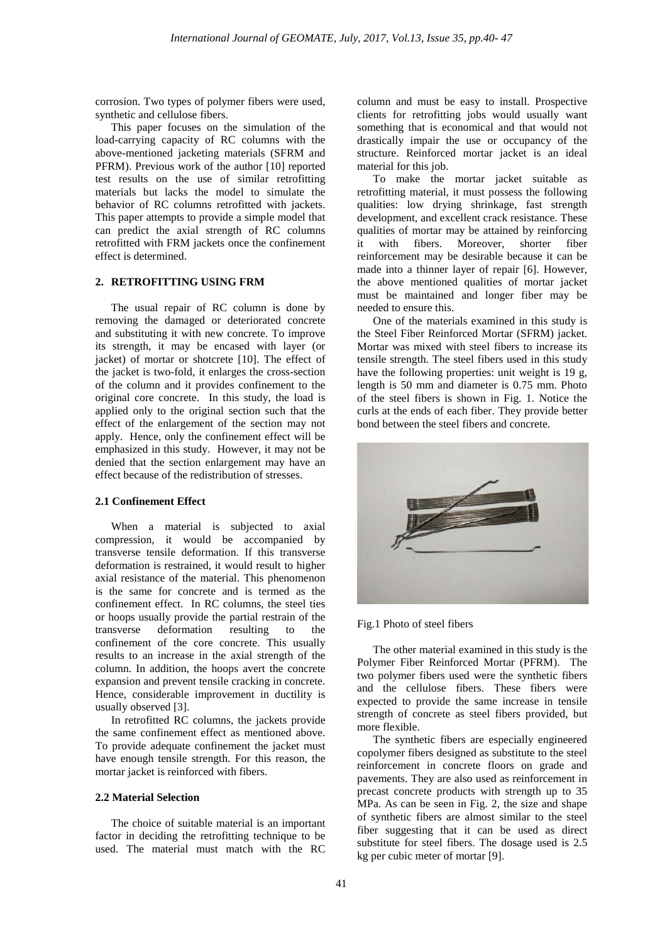corrosion. Two types of polymer fibers were used, synthetic and cellulose fibers.

This paper focuses on the simulation of the load-carrying capacity of RC columns with the above-mentioned jacketing materials (SFRM and PFRM). Previous work of the author [10] reported test results on the use of similar retrofitting materials but lacks the model to simulate the behavior of RC columns retrofitted with jackets. This paper attempts to provide a simple model that can predict the axial strength of RC columns retrofitted with FRM jackets once the confinement effect is determined.

# **2. RETROFITTING USING FRM**

The usual repair of RC column is done by removing the damaged or deteriorated concrete and substituting it with new concrete. To improve its strength, it may be encased with layer (or jacket) of mortar or shotcrete [10]. The effect of the jacket is two-fold, it enlarges the cross-section of the column and it provides confinement to the original core concrete. In this study, the load is applied only to the original section such that the effect of the enlargement of the section may not apply. Hence, only the confinement effect will be emphasized in this study. However, it may not be denied that the section enlargement may have an effect because of the redistribution of stresses.

## **2.1 Confinement Effect**

When a material is subjected to axial compression, it would be accompanied by transverse tensile deformation. If this transverse deformation is restrained, it would result to higher axial resistance of the material. This phenomenon is the same for concrete and is termed as the confinement effect. In RC columns, the steel ties or hoops usually provide the partial restrain of the transverse deformation resulting to the deformation resulting to the confinement of the core concrete. This usually results to an increase in the axial strength of the column. In addition, the hoops avert the concrete expansion and prevent tensile cracking in concrete. Hence, considerable improvement in ductility is usually observed [3].

In retrofitted RC columns, the jackets provide the same confinement effect as mentioned above. To provide adequate confinement the jacket must have enough tensile strength. For this reason, the mortar jacket is reinforced with fibers.

#### **2.2 Material Selection**

The choice of suitable material is an important factor in deciding the retrofitting technique to be used. The material must match with the RC column and must be easy to install. Prospective clients for retrofitting jobs would usually want something that is economical and that would not drastically impair the use or occupancy of the structure. Reinforced mortar jacket is an ideal material for this job.

To make the mortar jacket suitable as retrofitting material, it must possess the following qualities: low drying shrinkage, fast strength development, and excellent crack resistance. These qualities of mortar may be attained by reinforcing it with fibers. Moreover, shorter fiber reinforcement may be desirable because it can be made into a thinner layer of repair [6]. However, the above mentioned qualities of mortar jacket must be maintained and longer fiber may be needed to ensure this.

One of the materials examined in this study is the Steel Fiber Reinforced Mortar (SFRM) jacket. Mortar was mixed with steel fibers to increase its tensile strength. The steel fibers used in this study have the following properties: unit weight is 19 g, length is 50 mm and diameter is 0.75 mm. Photo of the steel fibers is shown in Fig. 1. Notice the curls at the ends of each fiber. They provide better bond between the steel fibers and concrete.



#### Fig.1 Photo of steel fibers

The other material examined in this study is the Polymer Fiber Reinforced Mortar (PFRM). The two polymer fibers used were the synthetic fibers and the cellulose fibers. These fibers were expected to provide the same increase in tensile strength of concrete as steel fibers provided, but more flexible.

The synthetic fibers are especially engineered copolymer fibers designed as substitute to the steel reinforcement in concrete floors on grade and pavements. They are also used as reinforcement in precast concrete products with strength up to 35 MPa. As can be seen in Fig. 2, the size and shape of synthetic fibers are almost similar to the steel fiber suggesting that it can be used as direct substitute for steel fibers. The dosage used is 2.5 kg per cubic meter of mortar [9].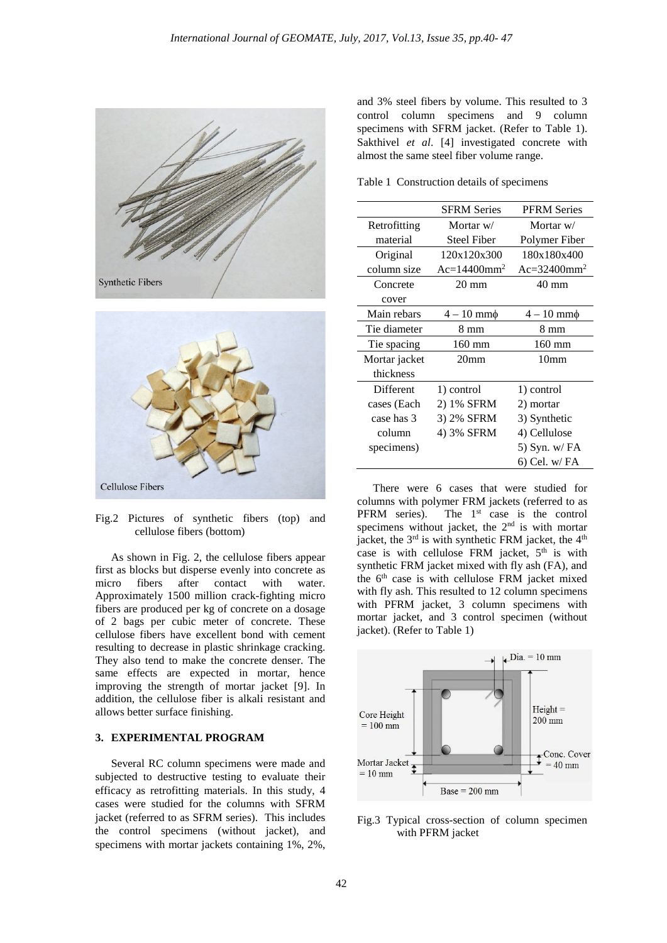



Fig.2 Pictures of synthetic fibers (top) and cellulose fibers (bottom)

As shown in Fig. 2, the cellulose fibers appear first as blocks but disperse evenly into concrete as micro fibers after contact with water. Approximately 1500 million crack-fighting micro fibers are produced per kg of concrete on a dosage of 2 bags per cubic meter of concrete. These cellulose fibers have excellent bond with cement resulting to decrease in plastic shrinkage cracking. They also tend to make the concrete denser. The same effects are expected in mortar, hence improving the strength of mortar jacket [9]. In addition, the cellulose fiber is alkali resistant and allows better surface finishing.

## **3. EXPERIMENTAL PROGRAM**

Several RC column specimens were made and subjected to destructive testing to evaluate their efficacy as retrofitting materials. In this study, 4 cases were studied for the columns with SFRM jacket (referred to as SFRM series). This includes the control specimens (without jacket), and specimens with mortar jackets containing 1%, 2%,

and 3% steel fibers by volume. This resulted to 3 control column specimens and 9 column specimens with SFRM jacket. (Refer to Table 1). Sakthivel *et al*. [4] investigated concrete with almost the same steel fiber volume range.

Table 1 Construction details of specimens

|               | <b>SFRM Series</b>         | <b>PFRM Series</b>           |
|---------------|----------------------------|------------------------------|
| Retrofitting  | Mortar w/                  | Mortar w/                    |
| material      | <b>Steel Fiber</b>         | Polymer Fiber                |
| Original      | 120x120x300                | 180x180x400                  |
| column size   | $Ac=14400$ mm <sup>2</sup> | $Ac = 32400$ mm <sup>2</sup> |
| Concrete      | $20 \text{ mm}$            | 40 mm                        |
| cover         |                            |                              |
| Main rebars   | $4-10$ mm $\phi$           | $4-10$ mm $\phi$             |
| Tie diameter  | $8 \text{ mm}$             | $8 \text{ mm}$               |
| Tie spacing   | $160$ mm                   | $160$ mm                     |
| Mortar jacket | 20 <sub>mm</sub>           | 10 <sub>mm</sub>             |
| thickness     |                            |                              |
| Different     | 1) control                 | 1) control                   |
| cases (Each   | 2) 1% SFRM                 | 2) mortar                    |
| case has 3    | 3) 2% SFRM                 | 3) Synthetic                 |
| column        | 4) 3% SFRM                 | 4) Cellulose                 |
| specimens)    |                            | 5) Syn. w/ FA                |
|               |                            | 6) Cel. w/ FA                |

There were 6 cases that were studied for columns with polymer FRM jackets (referred to as PFRM series). The  $1<sup>st</sup>$  case is the control specimens without jacket, the  $2<sup>nd</sup>$  is with mortar jacket, the  $3<sup>rd</sup>$  is with synthetic FRM jacket, the  $4<sup>th</sup>$ case is with cellulose FRM jacket, 5<sup>th</sup> is with synthetic FRM jacket mixed with fly ash (FA), and the  $6<sup>th</sup>$  case is with cellulose FRM jacket mixed with fly ash. This resulted to 12 column specimens with PFRM jacket, 3 column specimens with mortar jacket, and 3 control specimen (without jacket). (Refer to Table 1)



Fig.3 Typical cross-section of column specimen with PFRM jacket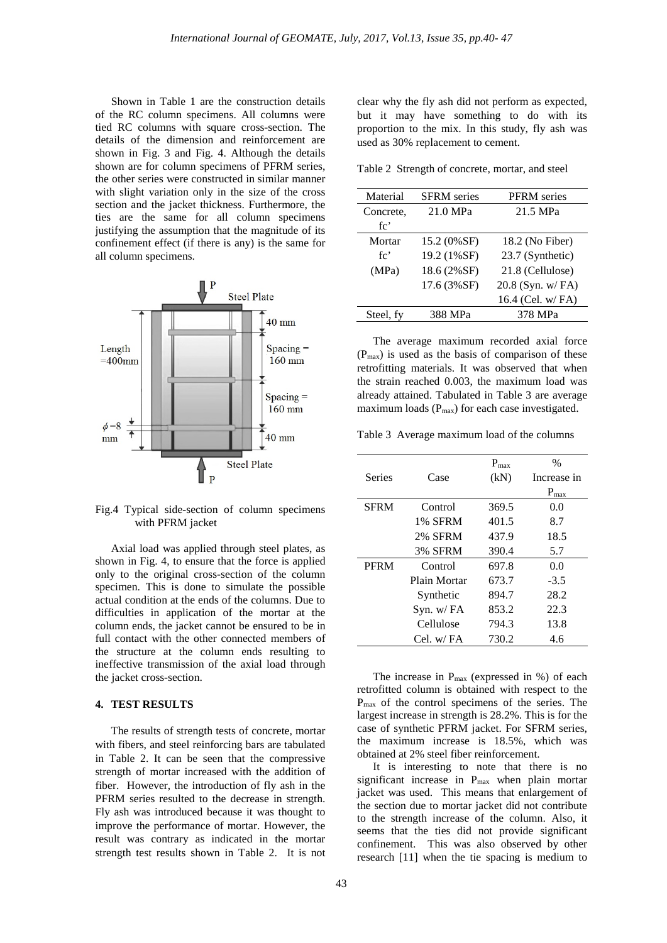Shown in Table 1 are the construction details of the RC column specimens. All columns were tied RC columns with square cross-section. The details of the dimension and reinforcement are shown in Fig. 3 and Fig. 4. Although the details shown are for column specimens of PFRM series, the other series were constructed in similar manner with slight variation only in the size of the cross section and the jacket thickness. Furthermore, the ties are the same for all column specimens justifying the assumption that the magnitude of its confinement effect (if there is any) is the same for all column specimens.



Fig.4 Typical side-section of column specimens with PFRM jacket

Axial load was applied through steel plates, as shown in Fig. 4, to ensure that the force is applied only to the original cross-section of the column specimen. This is done to simulate the possible actual condition at the ends of the columns. Due to difficulties in application of the mortar at the column ends, the jacket cannot be ensured to be in full contact with the other connected members of the structure at the column ends resulting to ineffective transmission of the axial load through the jacket cross-section.

### **4. TEST RESULTS**

The results of strength tests of concrete, mortar with fibers, and steel reinforcing bars are tabulated in Table 2. It can be seen that the compressive strength of mortar increased with the addition of fiber. However, the introduction of fly ash in the PFRM series resulted to the decrease in strength. Fly ash was introduced because it was thought to improve the performance of mortar. However, the result was contrary as indicated in the mortar strength test results shown in Table 2. It is not

clear why the fly ash did not perform as expected, but it may have something to do with its proportion to the mix. In this study, fly ash was used as 30% replacement to cement.

Table 2 Strength of concrete, mortar, and steel

| Material  | <b>SFRM</b> series | <b>PFRM</b> series |
|-----------|--------------------|--------------------|
| Concrete, | 21.0 MPa           | 21.5 MPa           |
| fc'       |                    |                    |
| Mortar    | 15.2 (0%SF)        | 18.2 (No Fiber)    |
| fc'       | 19.2 (1%SF)        | 23.7 (Synthetic)   |
| (MPa)     | 18.6 (2%SF)        | 21.8 (Cellulose)   |
|           | 17.6 (3%SF)        | 20.8 (Syn. w/FA)   |
|           |                    | 16.4 (Cel. w/FA)   |
| Steel, fy | 388 MPa            | 378 MPa            |

The average maximum recorded axial force  $(P<sub>max</sub>)$  is used as the basis of comparison of these retrofitting materials. It was observed that when the strain reached 0.003, the maximum load was already attained. Tabulated in Table 3 are average maximum loads  $(P<sub>max</sub>)$  for each case investigated.

Table 3 Average maximum load of the columns

|             |                | $P_{\text{max}}$ | $\frac{0}{0}$    |
|-------------|----------------|------------------|------------------|
| Series      | Case           | (kN)             | Increase in      |
|             |                |                  | $P_{\text{max}}$ |
| <b>SFRM</b> | Control        | 369.5            | 0.0              |
|             | 1% SFRM        | 401.5            | 8.7              |
|             | <b>2% SFRM</b> | 437.9            | 18.5             |
|             | 3% SFRM        | 390.4            | 5.7              |
| <b>PFRM</b> | Control        | 697.8            | 0.0              |
|             | Plain Mortar   | 673.7            | $-3.5$           |
|             | Synthetic      | 894.7            | 28.2             |
|             | $Syn.$ w/ $FA$ | 853.2            | 22.3             |
|             | Cellulose      | 794.3            | 13.8             |
|             | Cel. w/FA      | 730.2            | 4.6              |

The increase in  $P_{\text{max}}$  (expressed in %) of each retrofitted column is obtained with respect to the Pmax of the control specimens of the series. The largest increase in strength is 28.2%. This is for the case of synthetic PFRM jacket. For SFRM series, the maximum increase is 18.5%, which was obtained at 2% steel fiber reinforcement.

It is interesting to note that there is no significant increase in Pmax when plain mortar jacket was used. This means that enlargement of the section due to mortar jacket did not contribute to the strength increase of the column. Also, it seems that the ties did not provide significant confinement. This was also observed by other research [11] when the tie spacing is medium to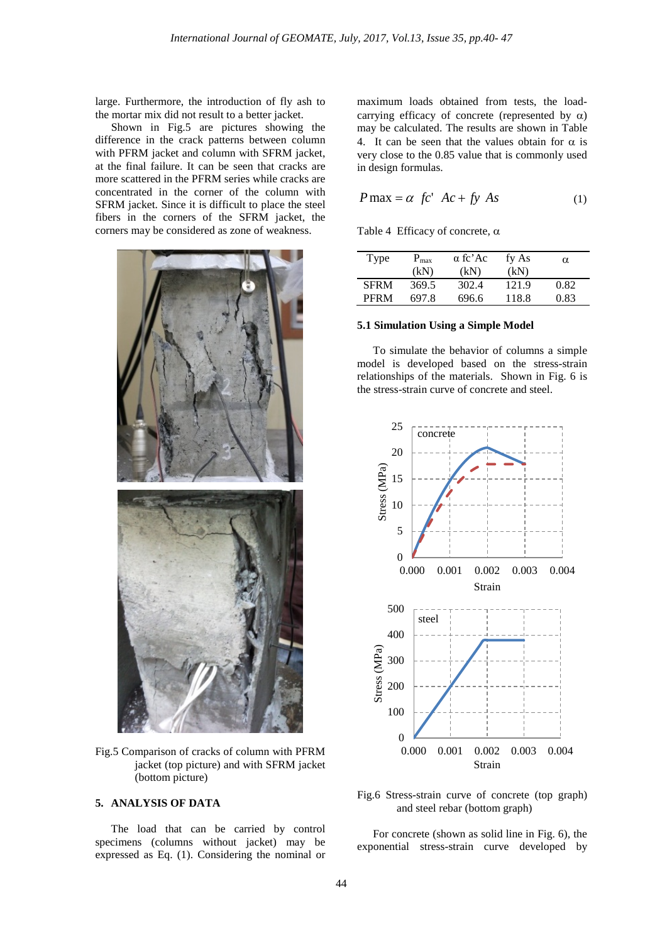large. Furthermore, the introduction of fly ash to the mortar mix did not result to a better jacket.

Shown in Fig.5 are pictures showing the difference in the crack patterns between column with PFRM jacket and column with SFRM jacket, at the final failure. It can be seen that cracks are more scattered in the PFRM series while cracks are concentrated in the corner of the column with SFRM jacket. Since it is difficult to place the steel fibers in the corners of the SFRM jacket, the corners may be considered as zone of weakness.



Fig.5 Comparison of cracks of column with PFRM jacket (top picture) and with SFRM jacket (bottom picture)

# **5. ANALYSIS OF DATA**

The load that can be carried by control specimens (columns without jacket) may be expressed as Eq. (1). Considering the nominal or

maximum loads obtained from tests, the loadcarrying efficacy of concrete (represented by  $\alpha$ ) may be calculated. The results are shown in Table 4. It can be seen that the values obtain for  $\alpha$  is very close to the 0.85 value that is commonly used in design formulas.

$$
P \max = \alpha \ f c' \ Ac + f y \ As \tag{1}
$$

Table 4 Efficacy of concrete,  $\alpha$ 

| Type        | $P_{\text{max}}$ | $\alpha$ fc'Ac | fy As | $\alpha$ |
|-------------|------------------|----------------|-------|----------|
|             | (kN)             | (kN)           | (kN)  |          |
| <b>SFRM</b> | 369.5            | 302.4          | 121.9 | 0.82     |
| <b>PFRM</b> | 697 8            | 696.6          | 118.8 | 0.83     |

## **5.1 Simulation Using a Simple Model**

To simulate the behavior of columns a simple model is developed based on the stress-strain relationships of the materials. Shown in Fig. 6 is the stress-strain curve of concrete and steel.



Fig.6 Stress-strain curve of concrete (top graph) and steel rebar (bottom graph)

For concrete (shown as solid line in Fig. 6), the exponential stress-strain curve developed by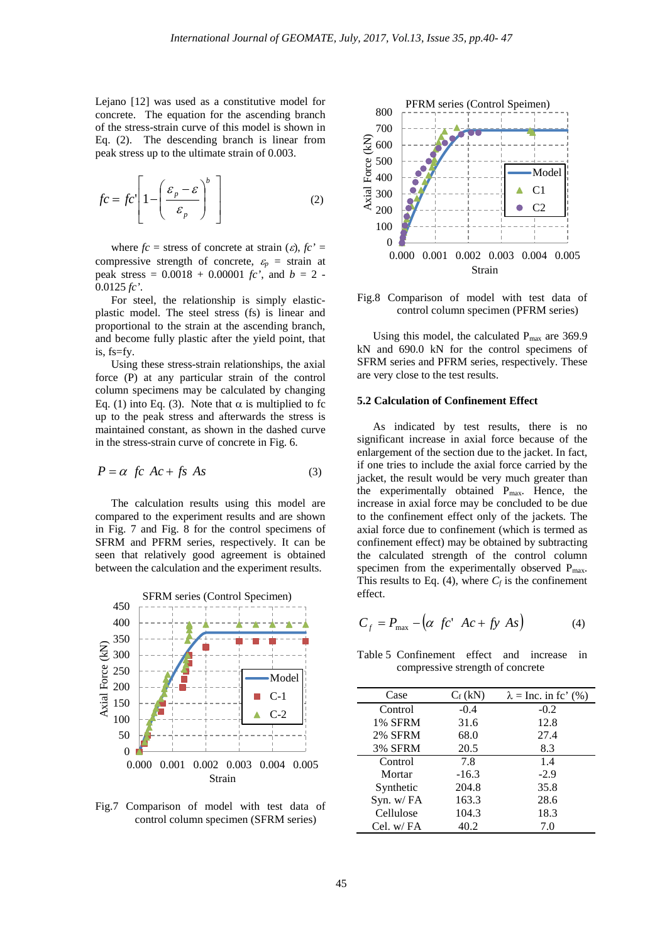Lejano [12] was used as a constitutive model for concrete. The equation for the ascending branch of the stress-strain curve of this model is shown in Eq. (2). The descending branch is linear from peak stress up to the ultimate strain of 0.003.

$$
fc = fc'\left[1 - \left(\frac{\varepsilon_p - \varepsilon}{\varepsilon_p}\right)^b\right]
$$
 (2)

where  $fc$  = stress of concrete at strain  $(c)$ ,  $fc'$  = compressive strength of concrete,  $\varepsilon_p$  = strain at peak stress =  $0.0018 + 0.00001$  *fc'*, and *b* = 2 -0.0125 *fc'*.

For steel, the relationship is simply elasticplastic model. The steel stress (fs) is linear and proportional to the strain at the ascending branch, and become fully plastic after the yield point, that is, fs=fy.

Using these stress-strain relationships, the axial force (P) at any particular strain of the control column specimens may be calculated by changing Eq. (1) into Eq. (3). Note that  $\alpha$  is multiplied to fc up to the peak stress and afterwards the stress is maintained constant, as shown in the dashed curve in the stress-strain curve of concrete in Fig. 6.

$$
P = \alpha \ \text{fc} \ \text{Ac} + \text{fs} \ \text{As} \tag{3}
$$

The calculation results using this model are compared to the experiment results and are shown in Fig. 7 and Fig. 8 for the control specimens of SFRM and PFRM series, respectively. It can be seen that relatively good agreement is obtained between the calculation and the experiment results.



Fig.7 Comparison of model with test data of control column specimen (SFRM series)



Fig.8 Comparison of model with test data of control column specimen (PFRM series)

Using this model, the calculated  $P_{\text{max}}$  are 369.9 kN and 690.0 kN for the control specimens of SFRM series and PFRM series, respectively. These are very close to the test results.

#### **5.2 Calculation of Confinement Effect**

As indicated by test results, there is no significant increase in axial force because of the enlargement of the section due to the jacket. In fact, if one tries to include the axial force carried by the jacket, the result would be very much greater than the experimentally obtained Pmax. Hence, the increase in axial force may be concluded to be due to the confinement effect only of the jackets. The axial force due to confinement (which is termed as confinement effect) may be obtained by subtracting the calculated strength of the control column specimen from the experimentally observed Pmax. This results to Eq. (4), where  $C_f$  is the confinement effect.

$$
C_f = P_{\text{max}} - \left(\alpha \ f c^* A c + f y A s\right) \tag{4}
$$

Table 5 Confinement effect and increase in compressive strength of concrete

| Case      | $C_f(kN)$ | $\lambda =$ Inc. in fc' (%) |
|-----------|-----------|-----------------------------|
| Control   | $-0.4$    | $-0.2$                      |
| 1% SFRM   | 31.6      | 12.8                        |
| 2% SFRM   | 68.0      | 27.4                        |
| 3% SFRM   | 20.5      | 8.3                         |
| Control   | 7.8       | 1.4                         |
| Mortar    | $-16.3$   | $-2.9$                      |
| Synthetic | 204.8     | 35.8                        |
| Syn. w/FA | 163.3     | 28.6                        |
| Cellulose | 104.3     | 18.3                        |
| Cel. w/FA | 40.2      | 7.0                         |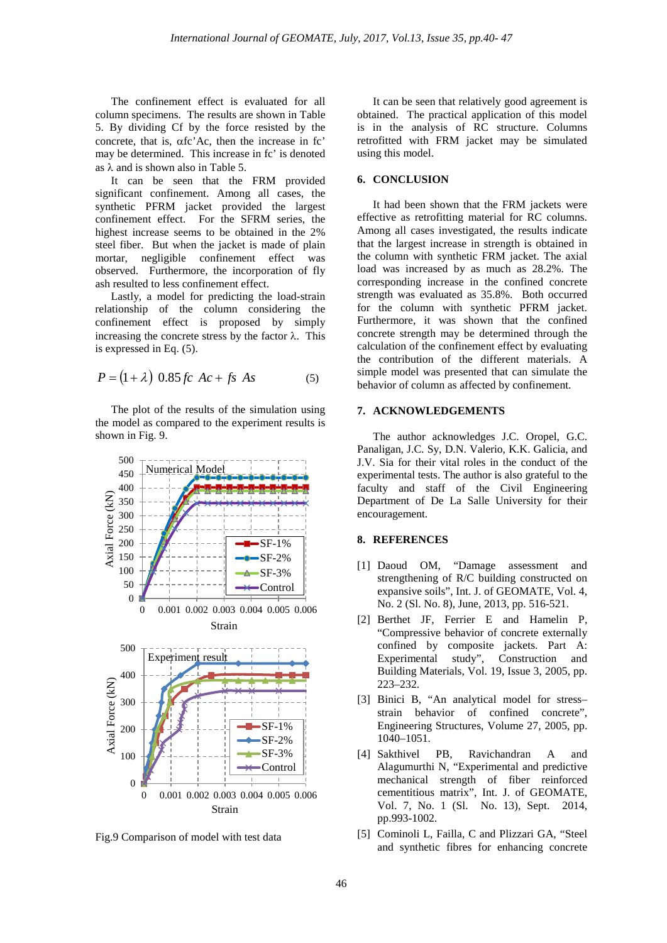The confinement effect is evaluated for all column specimens. The results are shown in Table 5. By dividing Cf by the force resisted by the concrete, that is, αfc'Ac, then the increase in fc' may be determined. This increase in fc' is denoted as  $\lambda$  and is shown also in Table 5.

It can be seen that the FRM provided significant confinement. Among all cases, the synthetic PFRM jacket provided the largest confinement effect. For the SFRM series, the highest increase seems to be obtained in the 2% steel fiber. But when the jacket is made of plain mortar, negligible confinement effect was observed. Furthermore, the incorporation of fly ash resulted to less confinement effect.

Lastly, a model for predicting the load-strain relationship of the column considering the confinement effect is proposed by simply increasing the concrete stress by the factor  $λ$ . This is expressed in Eq. (5).

$$
P = (1 + \lambda) \cdot 0.85 \, fc \, Ac + fs \, As \tag{5}
$$

The plot of the results of the simulation using the model as compared to the experiment results is shown in Fig. 9.



Fig.9 Comparison of model with test data

It can be seen that relatively good agreement is obtained. The practical application of this model is in the analysis of RC structure. Columns retrofitted with FRM jacket may be simulated using this model.

#### **6. CONCLUSION**

It had been shown that the FRM jackets were effective as retrofitting material for RC columns. Among all cases investigated, the results indicate that the largest increase in strength is obtained in the column with synthetic FRM jacket. The axial load was increased by as much as 28.2%. The corresponding increase in the confined concrete strength was evaluated as 35.8%. Both occurred for the column with synthetic PFRM jacket. Furthermore, it was shown that the confined concrete strength may be determined through the calculation of the confinement effect by evaluating the contribution of the different materials. A simple model was presented that can simulate the behavior of column as affected by confinement.

## **7. ACKNOWLEDGEMENTS**

The author acknowledges J.C. Oropel, G.C. Panaligan, J.C. Sy, D.N. Valerio, K.K. Galicia, and J.V. Sia for their vital roles in the conduct of the experimental tests. The author is also grateful to the faculty and staff of the Civil Engineering Department of De La Salle University for their encouragement.

#### **8. REFERENCES**

- [1] Daoud OM, "Damage assessment and strengthening of R/C building constructed on expansive soils", Int. J. of GEOMATE, Vol. 4, No. 2 (Sl. No. 8), June, 2013, pp. 516-521.
- [2] Berthet JF, Ferrier E and Hamelin P, "Compressive behavior of concrete externally confined by composite jackets. Part A: Experimental study", Construction and Building Materials, Vol. 19, Issue 3, 2005, pp. 223–232.
- [3] Binici B, "An analytical model for stress– strain behavior of confined concrete", Engineering Structures, Volume 27, 2005, pp. 1040–1051.
- [4] Sakthivel PB, Ravichandran A and Alagumurthi N, "Experimental and predictive mechanical strength of fiber reinforced cementitious matrix", Int. J. of GEOMATE, Vol. 7, No. 1 (Sl. No. 13), Sept. 2014, pp.993-1002.
- [5] Cominoli L, Failla, C and Plizzari GA, "Steel and synthetic fibres for enhancing concrete